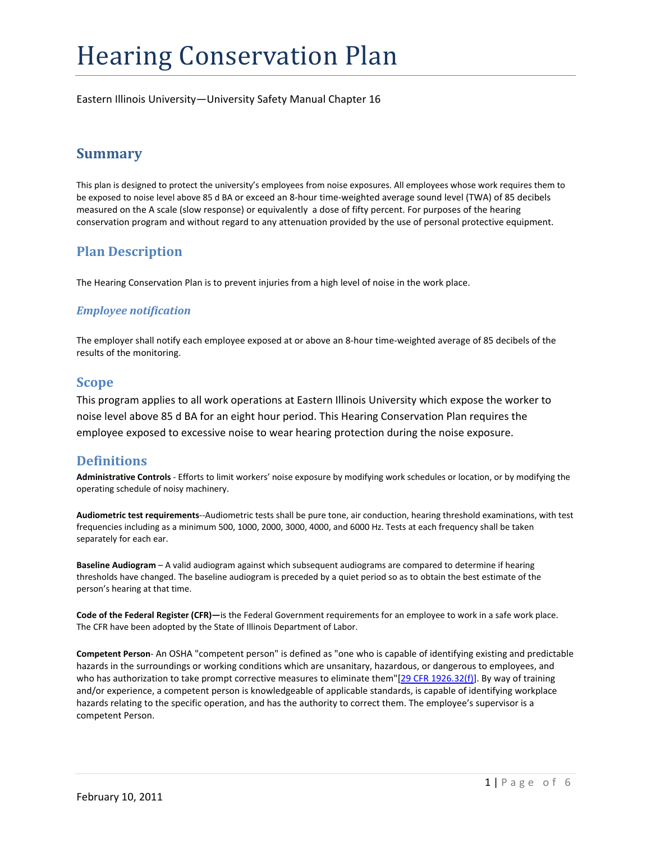# Hearing Conservation Plan

Eastern Illinois University—University Safety Manual Chapter 16

# **Summary**

This plan is designed to protect the university's employees from noise exposures. All employees whose work requires them to be exposed to noise level above 85 d BA or exceed an 8‐hour time‐weighted average sound level (TWA) of 85 decibels measured on the A scale (slow response) or equivalently a dose of fifty percent. For purposes of the hearing conservation program and without regard to any attenuation provided by the use of personal protective equipment.

# **Plan Description**

The Hearing Conservation Plan is to prevent injuries from a high level of noise in the work place.

## *Employee notification*

The employer shall notify each employee exposed at or above an 8‐hour time‐weighted average of 85 decibels of the results of the monitoring.

## **Scope**

This program applies to all work operations at Eastern Illinois University which expose the worker to noise level above 85 d BA for an eight hour period. This Hearing Conservation Plan requires the employee exposed to excessive noise to wear hearing protection during the noise exposure.

# **Definitions**

**Administrative Controls** ‐ Efforts to limit workers' noise exposure by modifying work schedules or location, or by modifying the operating schedule of noisy machinery.

**Audiometric test requirements**‐‐Audiometric tests shall be pure tone, air conduction, hearing threshold examinations, with test frequencies including as a minimum 500, 1000, 2000, 3000, 4000, and 6000 Hz. Tests at each frequency shall be taken separately for each ear.

**Baseline Audiogram** – A valid audiogram against which subsequent audiograms are compared to determine if hearing thresholds have changed. The baseline audiogram is preceded by a quiet period so as to obtain the best estimate of the person's hearing at that time.

**Code of the Federal Register (CFR)—**is the Federal Government requirements for an employee to work in a safe work place. The CFR have been adopted by the State of Illinois Department of Labor.

**Competent Person**‐ An OSHA "competent person" is defined as "one who is capable of identifying existing and predictable hazards in the surroundings or working conditions which are unsanitary, hazardous, or dangerous to employees, and who has authorization to take prompt corrective measures to eliminate them"[29 CFR 1926.32(f)]. By way of training and/or experience, a competent person is knowledgeable of applicable standards, is capable of identifying workplace hazards relating to the specific operation, and has the authority to correct them. The employee's supervisor is a competent Person.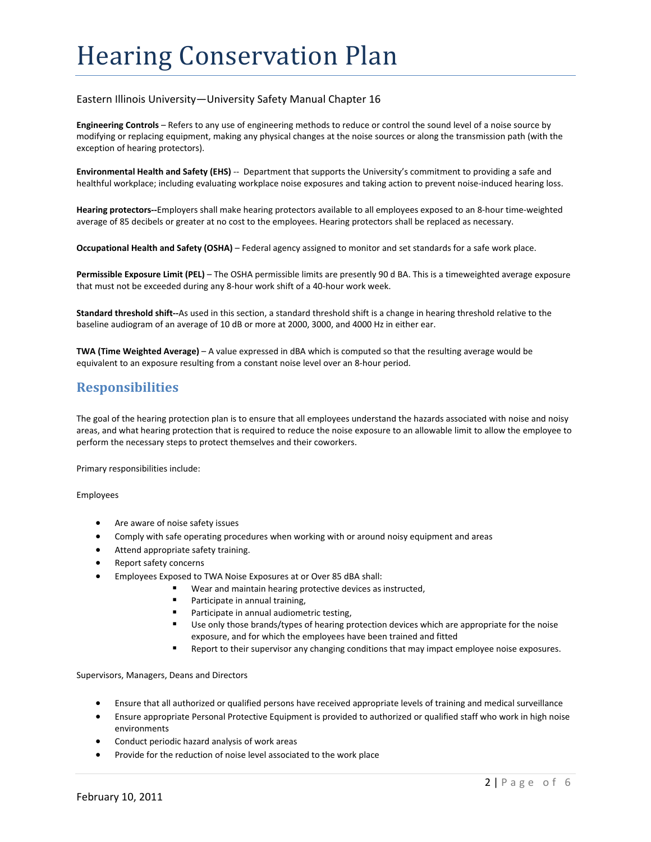# Hearing Conservation Plan

#### Eastern Illinois University—University Safety Manual Chapter 16

**Engineering Controls** – Refers to any use of engineering methods to reduce or control the sound level of a noise source by modifying or replacing equipment, making any physical changes at the noise sources or along the transmission path (with the exception of hearing protectors).

**Environmental Health and Safety (EHS)** ‐‐ Department that supports the University's commitment to providing a safe and healthful workplace; including evaluating workplace noise exposures and taking action to prevent noise-induced hearing loss.

**Hearing protectors‐‐**Employers shall make hearing protectors available to all employees exposed to an 8‐hour time‐weighted average of 85 decibels or greater at no cost to the employees. Hearing protectors shall be replaced as necessary.

**Occupational Health and Safety (OSHA)** – Federal agency assigned to monitor and set standards for a safe work place.

**Permissible Exposure Limit (PEL)** – The OSHA permissible limits are presently 90 d BA. This is a timeweighted average exposure that must not be exceeded during any 8‐hour work shift of a 40‐hour work week.

**Standard threshold shift‐‐**As used in this section, a standard threshold shift is a change in hearing threshold relative to the baseline audiogram of an average of 10 dB or more at 2000, 3000, and 4000 Hz in either ear.

**TWA (Time Weighted Average)** – A value expressed in dBA which is computed so that the resulting average would be equivalent to an exposure resulting from a constant noise level over an 8‐hour period.

## **Responsibilities**

The goal of the hearing protection plan is to ensure that all employees understand the hazards associated with noise and noisy areas, and what hearing protection that is required to reduce the noise exposure to an allowable limit to allow the employee to perform the necessary steps to protect themselves and their coworkers.

Primary responsibilities include:

Employees

- Are aware of noise safety issues
- Comply with safe operating procedures when working with or around noisy equipment and areas
- Attend appropriate safety training.
- Report safety concerns
- Employees Exposed to TWA Noise Exposures at or Over 85 dBA shall:
	- Wear and maintain hearing protective devices as instructed,
		- Participate in annual training,
		- **Participate in annual audiometric testing,**
		- Use only those brands/types of hearing protection devices which are appropriate for the noise exposure, and for which the employees have been trained and fitted
		- Report to their supervisor any changing conditions that may impact employee noise exposures.

Supervisors, Managers, Deans and Directors

- Ensure that all authorized or qualified persons have received appropriate levels of training and medical surveillance
- Ensure appropriate Personal Protective Equipment is provided to authorized or qualified staff who work in high noise environments
- Conduct periodic hazard analysis of work areas
- Provide for the reduction of noise level associated to the work place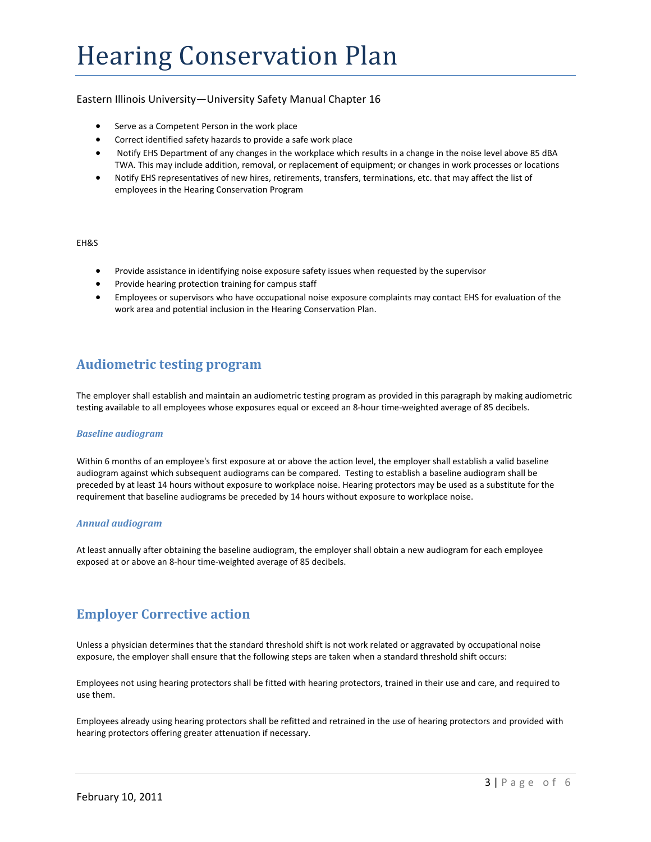#### Eastern Illinois University—University Safety Manual Chapter 16

- Serve as a Competent Person in the work place
- Correct identified safety hazards to provide a safe work place
- Notify EHS Department of any changes in the workplace which results in a change in the noise level above 85 dBA TWA. This may include addition, removal, or replacement of equipment; or changes in work processes or locations
- Notify EHS representatives of new hires, retirements, transfers, terminations, etc. that may affect the list of employees in the Hearing Conservation Program

#### EH&S

- Provide assistance in identifying noise exposure safety issues when requested by the supervisor
- Provide hearing protection training for campus staff
- Employees or supervisors who have occupational noise exposure complaints may contact EHS for evaluation of the work area and potential inclusion in the Hearing Conservation Plan.

## **Audiometric testing program**

The employer shall establish and maintain an audiometric testing program as provided in this paragraph by making audiometric testing available to all employees whose exposures equal or exceed an 8‐hour time‐weighted average of 85 decibels.

#### *Baseline audiogram*

Within 6 months of an employee's first exposure at or above the action level, the employer shall establish a valid baseline audiogram against which subsequent audiograms can be compared. Testing to establish a baseline audiogram shall be preceded by at least 14 hours without exposure to workplace noise. Hearing protectors may be used as a substitute for the requirement that baseline audiograms be preceded by 14 hours without exposure to workplace noise.

#### *Annual audiogram*

At least annually after obtaining the baseline audiogram, the employer shall obtain a new audiogram for each employee exposed at or above an 8‐hour time‐weighted average of 85 decibels.

# **Employer Corrective action**

Unless a physician determines that the standard threshold shift is not work related or aggravated by occupational noise exposure, the employer shall ensure that the following steps are taken when a standard threshold shift occurs:

Employees not using hearing protectors shall be fitted with hearing protectors, trained in their use and care, and required to use them.

Employees already using hearing protectors shall be refitted and retrained in the use of hearing protectors and provided with hearing protectors offering greater attenuation if necessary.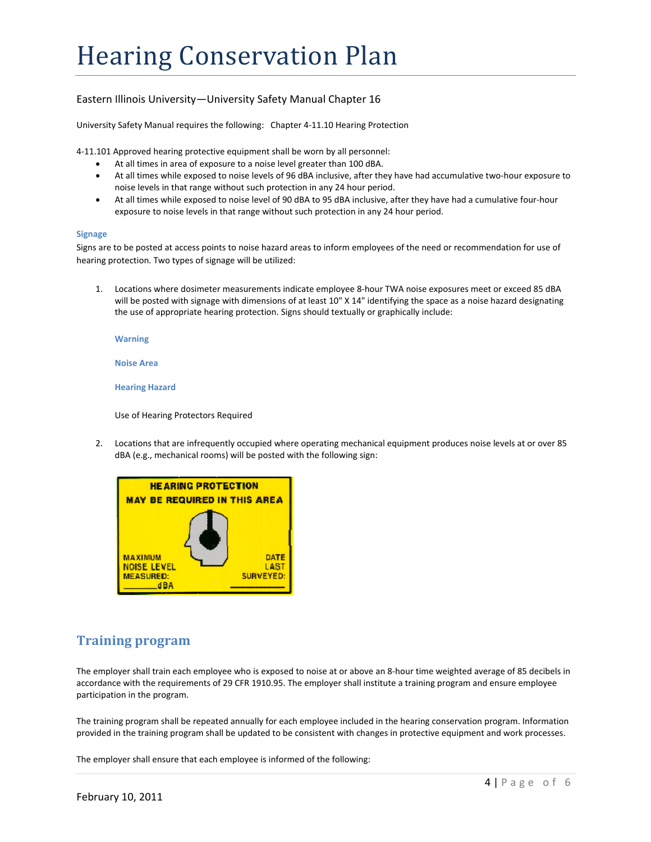### Eastern Illinois University—University Safety Manual Chapter 16

University Safety Manual requires the following: Chapter 4‐11.10 Hearing Protection

4‐11.101 Approved hearing protective equipment shall be worn by all personnel:

- At all times in area of exposure to a noise level greater than 100 dBA.
- At all times while exposed to noise levels of 96 dBA inclusive, after they have had accumulative two‐hour exposure to noise levels in that range without such protection in any 24 hour period.
- At all times while exposed to noise level of 90 dBA to 95 dBA inclusive, after they have had a cumulative four‐hour exposure to noise levels in that range without such protection in any 24 hour period.

#### **Signage**

Signs are to be posted at access points to noise hazard areas to inform employees of the need or recommendation for use of hearing protection. Two types of signage will be utilized:

1. Locations where dosimeter measurements indicate employee 8‐hour TWA noise exposures meet or exceed 85 dBA will be posted with signage with dimensions of at least 10" X 14" identifying the space as a noise hazard designating the use of appropriate hearing protection. Signs should textually or graphically include:

**Warning**

**Noise Area**

**Hearing Hazard**

Use of Hearing Protectors Required

2. Locations that are infrequently occupied where operating mechanical equipment produces noise levels at or over 85 dBA (e.g., mechanical rooms) will be posted with the following sign:



# **Training program**

The employer shall train each employee who is exposed to noise at or above an 8‐hour time weighted average of 85 decibels in accordance with the requirements of 29 CFR 1910.95. The employer shall institute a training program and ensure employee participation in the program.

The training program shall be repeated annually for each employee included in the hearing conservation program. Information provided in the training program shall be updated to be consistent with changes in protective equipment and work processes.

The employer shall ensure that each employee is informed of the following: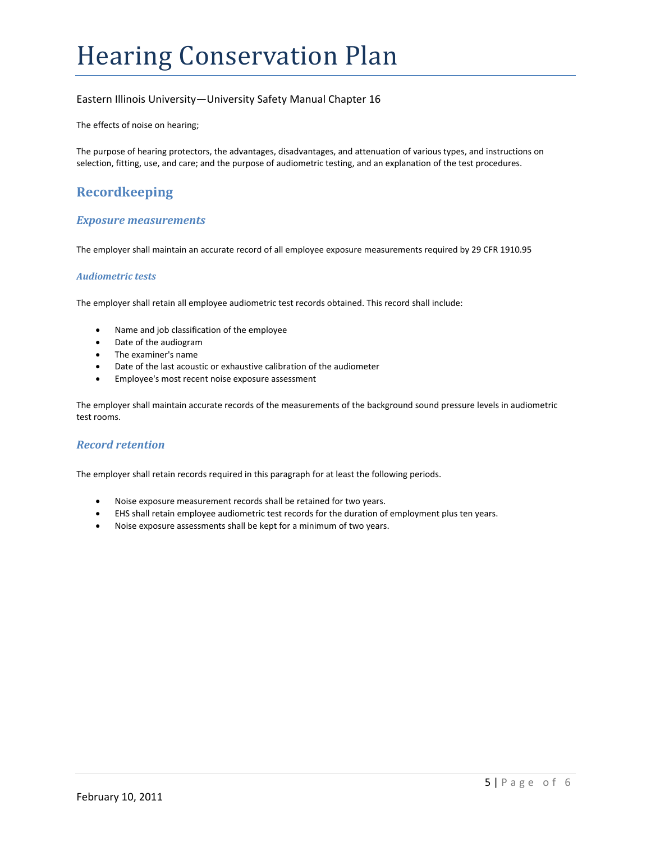### Eastern Illinois University—University Safety Manual Chapter 16

The effects of noise on hearing;

The purpose of hearing protectors, the advantages, disadvantages, and attenuation of various types, and instructions on selection, fitting, use, and care; and the purpose of audiometric testing, and an explanation of the test procedures.

# **Recordkeeping**

#### *Exposure measurements*

The employer shall maintain an accurate record of all employee exposure measurements required by 29 CFR 1910.95

#### *Audiometric tests*

The employer shall retain all employee audiometric test records obtained. This record shall include:

- Name and job classification of the employee
- Date of the audiogram
- The examiner's name
- Date of the last acoustic or exhaustive calibration of the audiometer
- Employee's most recent noise exposure assessment

The employer shall maintain accurate records of the measurements of the background sound pressure levels in audiometric test rooms.

#### *Record retention*

The employer shall retain records required in this paragraph for at least the following periods.

- Noise exposure measurement records shall be retained for two years.
- EHS shall retain employee audiometric test records for the duration of employment plus ten years.
- Noise exposure assessments shall be kept for a minimum of two years.